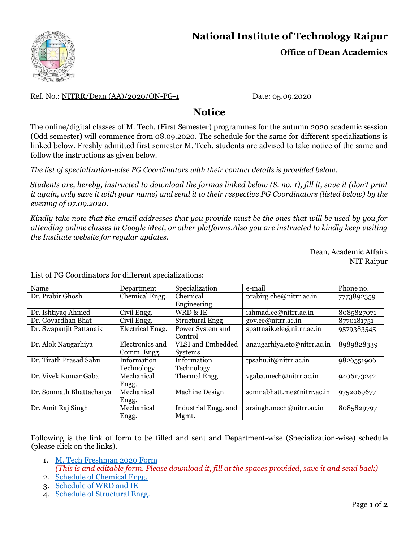

## **National Institute of Technology Raipur Office of Dean Academics**

Ref. No.: NITRR/Dean (AA)/2020/QN-PG-1 Date: 05.09.2020

## **Notice**

The online/digital classes of M. Tech. (First Semester) programmes for the autumn 2020 academic session (Odd semester) will commence from 08.09.2020. The schedule for the same for different specializations is linked below. Freshly admitted first semester M. Tech. students are advised to take notice of the same and follow the instructions as given below.

*The list of specialization-wise PG Coordinators with their contact details is provided below.* 

*Students are, hereby, instructed to download the formas linked below (S. no. 1), fill it, save it (don't print it again, only save it with your name) and send it to their respective PG Coordinators (listed below) by the evening of 07.09.2020.*

*Kindly take note that the email addresses that you provide must be the ones that will be used by you for attending online classes in Google Meet, or other platforms.Also you are instructed to kindly keep visiting the Institute website for regular updates.* 

> Dean, Academic Affairs NIT Raipur

| Name                     | Department        | Specialization           | e-mail                      | Phone no.  |
|--------------------------|-------------------|--------------------------|-----------------------------|------------|
| Dr. Prabir Ghosh         | Chemical Engg.    | Chemical                 | prabirg.che@nitrr.ac.in     | 7773892359 |
|                          |                   | Engineering              |                             |            |
| Dr. Ishtiyaq Ahmed       | Civil Engg.       | WRD & IE                 | iahmad.ce@nitrr.ac.in       | 8085827071 |
| Dr. Govardhan Bhat       | Civil Engg.       | <b>Structural Engg</b>   | gov.ce@nitrr.ac.in          | 8770181751 |
| Dr. Swapanjit Pattanaik  | Electrical Engg.  | Power System and         | spattnaik.ele@nitrr.ac.in   | 9579383545 |
|                          |                   | Control                  |                             |            |
| Dr. Alok Naugarhiya      | Electronics and   | <b>VLSI</b> and Embedded | anaugarhiya.etc@nitrr.ac.in | 8989828339 |
|                          | Comm. Engg.       | Systems                  |                             |            |
| Dr. Tirath Prasad Sahu   | Information       | Information              | tpsahu.it@nitrr.ac.in       | 9826551906 |
|                          | <b>Technology</b> | Technology               |                             |            |
| Dr. Vivek Kumar Gaba     | Mechanical        | Thermal Engg.            | vgaba.mech@nitrr.ac.in      | 9406173242 |
|                          | Engg.             |                          |                             |            |
| Dr. Somnath Bhattacharya | Mechanical        | <b>Machine Design</b>    | somnabhatt.me@nitrr.ac.in   | 9752069677 |
|                          | Engg.             |                          |                             |            |
| Dr. Amit Raj Singh       | Mechanical        | Industrial Engg. and     | arsingh.mech@nitrr.ac.in    | 8085829797 |
|                          | Engg.             | Mgmt.                    |                             |            |

List of PG Coordinators for different specializations:

Following is the link of form to be filled and sent and Department-wise (Specialization-wise) schedule (please click on the links).

- 1. [M. Tech Freshman 2020 Form](http://nitrr.ac.in/downloads/dean_acad/2020/M.%20Tech%20Freshman%202020%20Form.docx) *(This is and editable form. Please download it, fill at the spaces provided, save it and send back)*
- 2. [Schedule of Chemical Engg.](http://nitrr.ac.in/downloads/dean_acad/2020/Schedule%20of%20Chemical%20Engg.pdf)
- 3. [Schedule of WRD](http://nitrr.ac.in/downloads/dean_acad/2020/Schedule%20of%20WRD%20and%20IE.pdf) and IE
- 4. [Schedule of Structural Engg.](http://nitrr.ac.in/downloads/dean_acad/2020/Schedule%20of%20Structural%20Engineering.pdf)